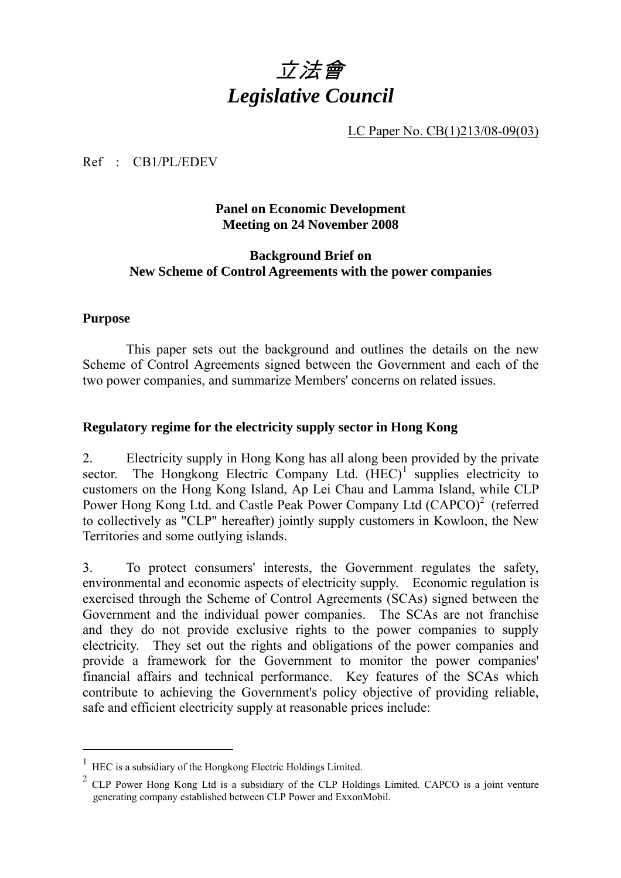# 立法會 *Legislative Council*

LC Paper No. CB(1)213/08-09(03)

#### Ref : CB1/PL/EDEV

#### **Panel on Economic Development Meeting on 24 November 2008**

#### **Background Brief on New Scheme of Control Agreements with the power companies**

#### **Purpose**

 $\overline{a}$ 

 This paper sets out the background and outlines the details on the new Scheme of Control Agreements signed between the Government and each of the two power companies, and summarize Members' concerns on related issues.

#### **Regulatory regime for the electricity supply sector in Hong Kong**

2. Electricity supply in Hong Kong has all along been provided by the private sector. The Hongkong Electric Company Ltd.  $(HEC)^{1}$  supplies electricity to customers on the Hong Kong Island, Ap Lei Chau and Lamma Island, while CLP Power Hong Kong Ltd. and Castle Peak Power Company Ltd (CAPCO)<sup>2</sup> (referred to collectively as "CLP" hereafter) jointly supply customers in Kowloon, the New Territories and some outlying islands.

3. To protect consumers' interests, the Government regulates the safety, environmental and economic aspects of electricity supply. Economic regulation is exercised through the Scheme of Control Agreements (SCAs) signed between the Government and the individual power companies. The SCAs are not franchise and they do not provide exclusive rights to the power companies to supply electricity. They set out the rights and obligations of the power companies and provide a framework for the Government to monitor the power companies' financial affairs and technical performance. Key features of the SCAs which contribute to achieving the Government's policy objective of providing reliable, safe and efficient electricity supply at reasonable prices include:

<sup>1</sup> HEC is a subsidiary of the Hongkong Electric Holdings Limited.

 $2$  CLP Power Hong Kong Ltd is a subsidiary of the CLP Holdings Limited. CAPCO is a joint venture generating company established between CLP Power and ExxonMobil.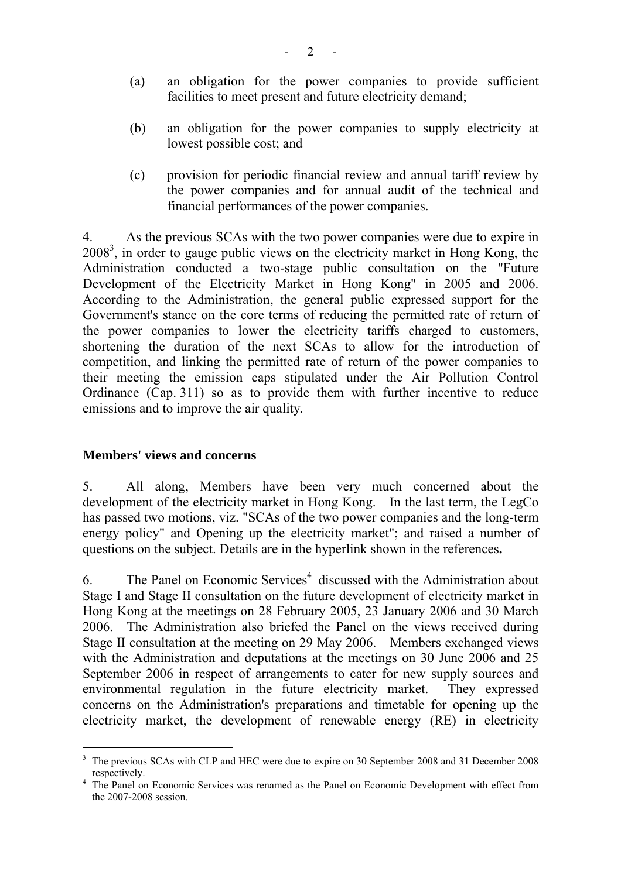- (a) an obligation for the power companies to provide sufficient facilities to meet present and future electricity demand;
- (b) an obligation for the power companies to supply electricity at lowest possible cost; and
- (c) provision for periodic financial review and annual tariff review by the power companies and for annual audit of the technical and financial performances of the power companies.

4. As the previous SCAs with the two power companies were due to expire in 20083 , in order to gauge public views on the electricity market in Hong Kong, the Administration conducted a two-stage public consultation on the "Future Development of the Electricity Market in Hong Kong" in 2005 and 2006. According to the Administration, the general public expressed support for the Government's stance on the core terms of reducing the permitted rate of return of the power companies to lower the electricity tariffs charged to customers, shortening the duration of the next SCAs to allow for the introduction of competition, and linking the permitted rate of return of the power companies to their meeting the emission caps stipulated under the Air Pollution Control Ordinance (Cap. 311) so as to provide them with further incentive to reduce emissions and to improve the air quality.

#### **Members' views and concerns**

5. All along, Members have been very much concerned about the development of the electricity market in Hong Kong. In the last term, the LegCo has passed two motions, viz. "SCAs of the two power companies and the long-term energy policy" and Opening up the electricity market"; and raised a number of questions on the subject. Details are in the hyperlink shown in the references**.** 

6. The Panel on Economic Services<sup>4</sup> discussed with the Administration about Stage I and Stage II consultation on the future development of electricity market in Hong Kong at the meetings on 28 February 2005, 23 January 2006 and 30 March 2006. The Administration also briefed the Panel on the views received during Stage II consultation at the meeting on 29 May 2006. Members exchanged views with the Administration and deputations at the meetings on 30 June 2006 and 25 September 2006 in respect of arrangements to cater for new supply sources and environmental regulation in the future electricity market. They expressed concerns on the Administration's preparations and timetable for opening up the electricity market, the development of renewable energy (RE) in electricity

 $\overline{a}$ 3 The previous SCAs with CLP and HEC were due to expire on 30 September 2008 and 31 December 2008 respectively.

The Panel on Economic Services was renamed as the Panel on Economic Development with effect from the 2007-2008 session.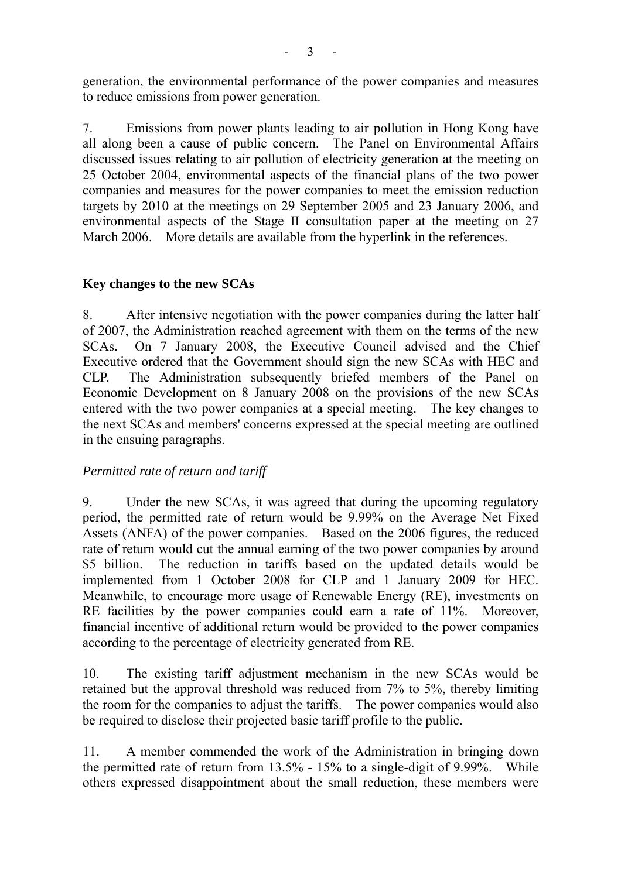generation, the environmental performance of the power companies and measures to reduce emissions from power generation.

7. Emissions from power plants leading to air pollution in Hong Kong have all along been a cause of public concern. The Panel on Environmental Affairs discussed issues relating to air pollution of electricity generation at the meeting on 25 October 2004, environmental aspects of the financial plans of the two power companies and measures for the power companies to meet the emission reduction targets by 2010 at the meetings on 29 September 2005 and 23 January 2006, and environmental aspects of the Stage II consultation paper at the meeting on 27 March 2006. More details are available from the hyperlink in the references.

## **Key changes to the new SCAs**

8. After intensive negotiation with the power companies during the latter half of 2007, the Administration reached agreement with them on the terms of the new SCAs. On 7 January 2008, the Executive Council advised and the Chief Executive ordered that the Government should sign the new SCAs with HEC and CLP. The Administration subsequently briefed members of the Panel on Economic Development on 8 January 2008 on the provisions of the new SCAs entered with the two power companies at a special meeting. The key changes to the next SCAs and members' concerns expressed at the special meeting are outlined in the ensuing paragraphs.

## *Permitted rate of return and tariff*

9. Under the new SCAs, it was agreed that during the upcoming regulatory period, the permitted rate of return would be 9.99% on the Average Net Fixed Assets (ANFA) of the power companies. Based on the 2006 figures, the reduced rate of return would cut the annual earning of the two power companies by around \$5 billion. The reduction in tariffs based on the updated details would be implemented from 1 October 2008 for CLP and 1 January 2009 for HEC. Meanwhile, to encourage more usage of Renewable Energy (RE), investments on RE facilities by the power companies could earn a rate of 11%. Moreover, financial incentive of additional return would be provided to the power companies according to the percentage of electricity generated from RE.

10. The existing tariff adjustment mechanism in the new SCAs would be retained but the approval threshold was reduced from 7% to 5%, thereby limiting the room for the companies to adjust the tariffs. The power companies would also be required to disclose their projected basic tariff profile to the public.

11. A member commended the work of the Administration in bringing down the permitted rate of return from 13.5% - 15% to a single-digit of 9.99%. While others expressed disappointment about the small reduction, these members were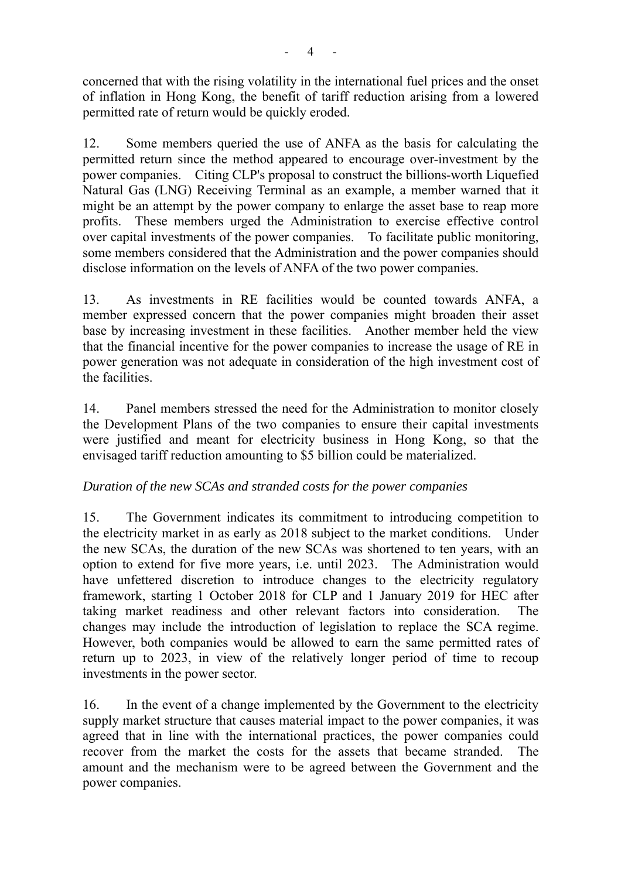concerned that with the rising volatility in the international fuel prices and the onset of inflation in Hong Kong, the benefit of tariff reduction arising from a lowered permitted rate of return would be quickly eroded.

12. Some members queried the use of ANFA as the basis for calculating the permitted return since the method appeared to encourage over-investment by the power companies. Citing CLP's proposal to construct the billions-worth Liquefied Natural Gas (LNG) Receiving Terminal as an example, a member warned that it might be an attempt by the power company to enlarge the asset base to reap more profits. These members urged the Administration to exercise effective control over capital investments of the power companies. To facilitate public monitoring, some members considered that the Administration and the power companies should disclose information on the levels of ANFA of the two power companies.

13. As investments in RE facilities would be counted towards ANFA, a member expressed concern that the power companies might broaden their asset base by increasing investment in these facilities. Another member held the view that the financial incentive for the power companies to increase the usage of RE in power generation was not adequate in consideration of the high investment cost of the facilities.

14. Panel members stressed the need for the Administration to monitor closely the Development Plans of the two companies to ensure their capital investments were justified and meant for electricity business in Hong Kong, so that the envisaged tariff reduction amounting to \$5 billion could be materialized.

# *Duration of the new SCAs and stranded costs for the power companies*

15. The Government indicates its commitment to introducing competition to the electricity market in as early as 2018 subject to the market conditions. Under the new SCAs, the duration of the new SCAs was shortened to ten years, with an option to extend for five more years, i.e. until 2023. The Administration would have unfettered discretion to introduce changes to the electricity regulatory framework, starting 1 October 2018 for CLP and 1 January 2019 for HEC after taking market readiness and other relevant factors into consideration. The changes may include the introduction of legislation to replace the SCA regime. However, both companies would be allowed to earn the same permitted rates of return up to 2023, in view of the relatively longer period of time to recoup investments in the power sector.

16. In the event of a change implemented by the Government to the electricity supply market structure that causes material impact to the power companies, it was agreed that in line with the international practices, the power companies could recover from the market the costs for the assets that became stranded. The amount and the mechanism were to be agreed between the Government and the power companies.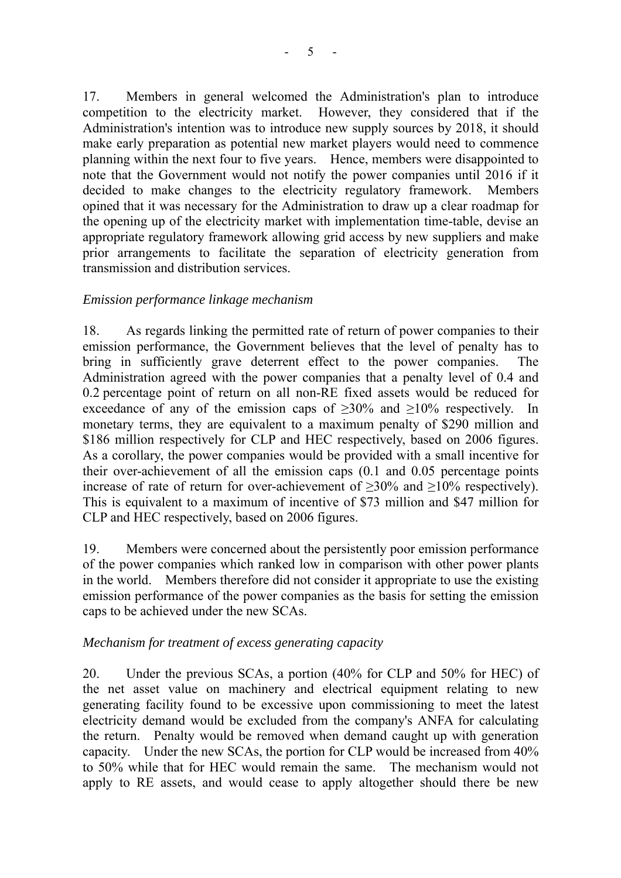17. Members in general welcomed the Administration's plan to introduce competition to the electricity market. However, they considered that if the Administration's intention was to introduce new supply sources by 2018, it should make early preparation as potential new market players would need to commence planning within the next four to five years. Hence, members were disappointed to note that the Government would not notify the power companies until 2016 if it decided to make changes to the electricity regulatory framework. Members opined that it was necessary for the Administration to draw up a clear roadmap for the opening up of the electricity market with implementation time-table, devise an appropriate regulatory framework allowing grid access by new suppliers and make prior arrangements to facilitate the separation of electricity generation from transmission and distribution services.

## *Emission performance linkage mechanism*

18. As regards linking the permitted rate of return of power companies to their emission performance, the Government believes that the level of penalty has to bring in sufficiently grave deterrent effect to the power companies. The Administration agreed with the power companies that a penalty level of 0.4 and 0.2 percentage point of return on all non-RE fixed assets would be reduced for exceedance of any of the emission caps of  $\geq 30\%$  and  $\geq 10\%$  respectively. In monetary terms, they are equivalent to a maximum penalty of \$290 million and \$186 million respectively for CLP and HEC respectively, based on 2006 figures. As a corollary, the power companies would be provided with a small incentive for their over-achievement of all the emission caps (0.1 and 0.05 percentage points increase of rate of return for over-achievement of ≥30% and ≥10% respectively). This is equivalent to a maximum of incentive of \$73 million and \$47 million for CLP and HEC respectively, based on 2006 figures.

19. Members were concerned about the persistently poor emission performance of the power companies which ranked low in comparison with other power plants in the world. Members therefore did not consider it appropriate to use the existing emission performance of the power companies as the basis for setting the emission caps to be achieved under the new SCAs.

## *Mechanism for treatment of excess generating capacity*

20. Under the previous SCAs, a portion (40% for CLP and 50% for HEC) of the net asset value on machinery and electrical equipment relating to new generating facility found to be excessive upon commissioning to meet the latest electricity demand would be excluded from the company's ANFA for calculating the return. Penalty would be removed when demand caught up with generation capacity. Under the new SCAs, the portion for CLP would be increased from 40% to 50% while that for HEC would remain the same. The mechanism would not apply to RE assets, and would cease to apply altogether should there be new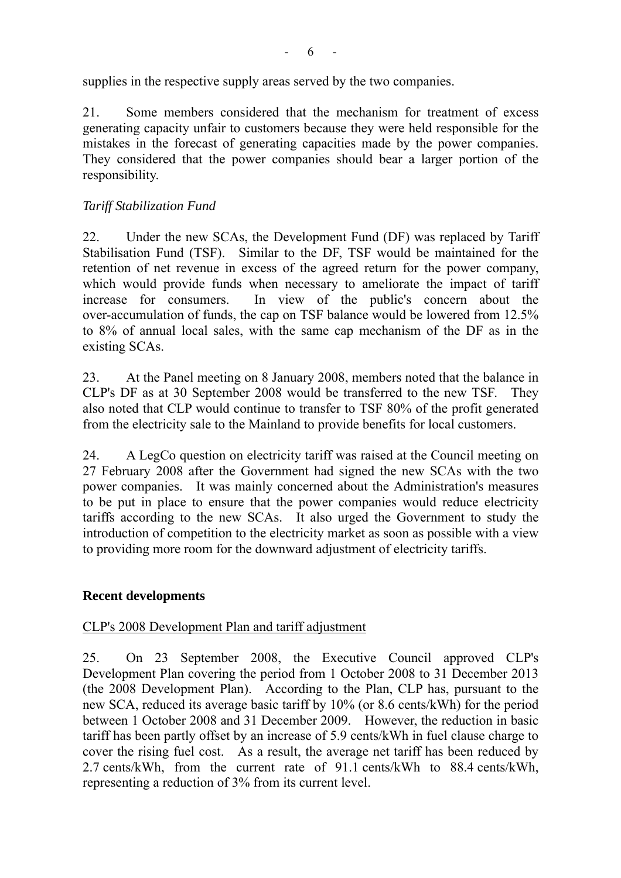supplies in the respective supply areas served by the two companies.

21. Some members considered that the mechanism for treatment of excess generating capacity unfair to customers because they were held responsible for the mistakes in the forecast of generating capacities made by the power companies. They considered that the power companies should bear a larger portion of the responsibility.

## *Tariff Stabilization Fund*

22. Under the new SCAs, the Development Fund (DF) was replaced by Tariff Stabilisation Fund (TSF). Similar to the DF, TSF would be maintained for the retention of net revenue in excess of the agreed return for the power company, which would provide funds when necessary to ameliorate the impact of tariff increase for consumers. In view of the public's concern about the over-accumulation of funds, the cap on TSF balance would be lowered from 12.5% to 8% of annual local sales, with the same cap mechanism of the DF as in the existing SCAs.

23. At the Panel meeting on 8 January 2008, members noted that the balance in CLP's DF as at 30 September 2008 would be transferred to the new TSF. They also noted that CLP would continue to transfer to TSF 80% of the profit generated from the electricity sale to the Mainland to provide benefits for local customers.

24. A LegCo question on electricity tariff was raised at the Council meeting on 27 February 2008 after the Government had signed the new SCAs with the two power companies. It was mainly concerned about the Administration's measures to be put in place to ensure that the power companies would reduce electricity tariffs according to the new SCAs. It also urged the Government to study the introduction of competition to the electricity market as soon as possible with a view to providing more room for the downward adjustment of electricity tariffs.

## **Recent developments**

## CLP's 2008 Development Plan and tariff adjustment

25. On 23 September 2008, the Executive Council approved CLP's Development Plan covering the period from 1 October 2008 to 31 December 2013 (the 2008 Development Plan). According to the Plan, CLP has, pursuant to the new SCA, reduced its average basic tariff by 10% (or 8.6 cents/kWh) for the period between 1 October 2008 and 31 December 2009. However, the reduction in basic tariff has been partly offset by an increase of 5.9 cents/kWh in fuel clause charge to cover the rising fuel cost. As a result, the average net tariff has been reduced by 2.7 cents/kWh, from the current rate of 91.1 cents/kWh to 88.4 cents/kWh, representing a reduction of 3% from its current level.